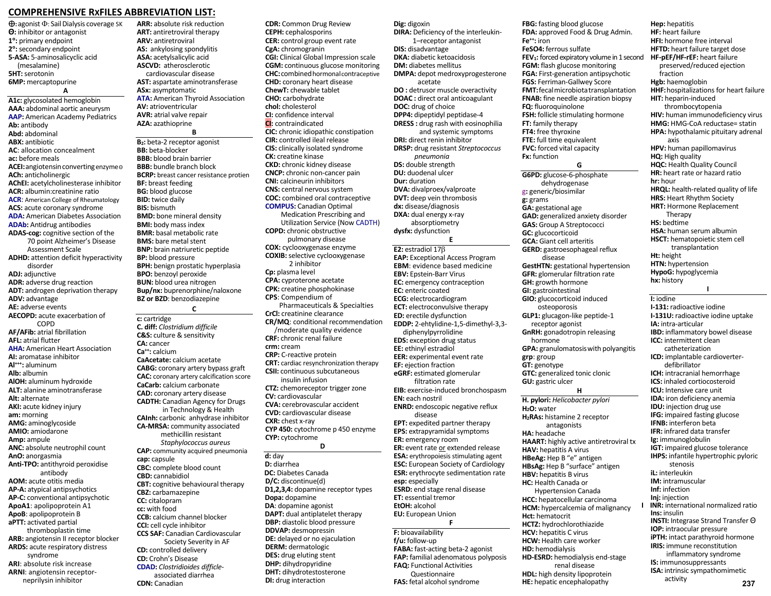## **COMPREHENSIVE RXFILES ABBREVIATION LIST:**

 $\bigoplus$ : agonist  $\Phi$ : Sail Dialysis coverage SK **Θ**: inhibitor or antagonist **1:** primary endpoint **2:** secondary endpoint **5-ASA:** 5-aminosalicyclic acid (mesalamine) **5HT:** serotonin **6MP:** mercaptopurine

**A A1c:** glycosolated hemoglobin **AAA:** abdominal aortic aneurysm **AAP:** American Academy Pediatrics **Ab:** antibody **Abd:** abdominal **ABX:** antibiotic **AC**: allocation concealment **ac:** before meals **ACEI:** angiotensin converting enzymeΘ **ACh:** anticholinergic **AChEI:** acetylcholinesterase inhibitor **ACR:** albumin:creatinine ratio **ACR**: American College of Rheumatology **ACS:** acute coronary syndrome **ADA:** American Diabetes Association **ADAb:** Antidrug antibodies **ADAS-cog:** cognitive section of the 70 point Alzheimer's Disease Assessment Scale **ADHD:** attention deficit hyperactivity disorder **ADJ:** adjunctive **ADR:** adverse drug reaction **ADT:** androgen deprivation therapy **ADV:** advantage **AE:** adverse events **AECOPD:** acute exacerbation of COPD **AF/AFib:** atrial fibrillation **AFL:** atrial flutter **AHA:** American Heart Association **AI:** aromatase inhibitor **Al+++:** aluminum **Alb:** albumin **AlOH:** aluminum hydroxide **ALT:** alanine aminotransferase **Alt:** alternate **AKI:** acute kidney injury **am:** morning **AMG:** aminoglycoside **AMIO:** amiodarone **Amp:** ampule **ANC:** absolute neutrophil count **AnO:** anorgasmia **Anti-TPO:** antithyroid peroxidise antibody **AOM:** acute otitis media **AP-A:** atypical antipsychotics **AP-C:** conventional antipsychotic **ApoA1**: apolipoprotein A1 **ApoB**: apolipoprotein B **aPTT:** activated partial thromboplastin time **ARB:** angiotensin II receptor blocker **ARDS:** acute respiratory distress syndrome **ARI**: absolute risk increase **ARNI**: angiotensin receptor-

neprilysin inhibitor

**ARR:** absolute risk reduction **ART:** antiretroviral therapy **ARV:** antiretroviral **AS:** ankylosing spondylitis **ASA:** acetylsalicylic acid **ASCVD:** atherosclerotic cardiovascular disease **AST:** aspartate aminotransferase **ASx:** asymptomatic **ATA:** American Thyroid Association **AV:** atrioventricular **AVR:** atrial valve repair **AZA:** azathioprine **B** 

**B2:** beta-2 receptor agonist **BB:** beta-blocker **BBB:** blood brain barrier **BBB:** bundle branch block **BCRP:** breast cancer resistance protien **BF:** breast feeding **BG:** blood glucose **BID:** twice daily **BIS:** bismuth **BMD:** bone mineral density **BMI:** body mass index **BMR:** basal metabolic rate **BMS:** bare metal stent **BNP:** brain natriuretic peptide **BP:** blood pressure **BPH:** benign prostatic hyperplasia **BPO:** benzoyl peroxide **BUN:** blood urea nitrogen **Bup/nx:** buprenorphine/naloxone **BZ or BZD**: benzodiazepine **C c:** cartridge **C. diff:** *Clostridium difficile*

**C&S:** culture & sensitivity **CA:** cancer **Ca++:** calcium **CaAcetate:** calcium acetate **CABG:** coronary artery bypass graft **CAC:** coronary artery calcification score **CaCarb:** calcium carbonate **CAD:** coronary artery disease **CADTH:** Canadian Agency for Drugs in Technology & Health **CAInh:** carbonic anhydrase inhibitor **CA-MRSA:** community associated methicillin resistant *Staphylococcus aureus*  **CAP:** community acquired pneumonia **cap:** capsule **CBC:** complete blood count **CBD:** cannabidiol **CBT:** cognitive behavioural therapy **CBZ:** carbamazepine **CC:** citalopram **cc:** with food **CCB:** calcium channel blocker **CCI:** cell cycle inhibitor **CCS SAF:** Canadian Cardiovascular Society Severity in AF **CD:** controlled delivery **CD:** Crohn's Disease **CDAD:** *Clostridioides difficle* associated diarrhea **CDN:** Canadian

**CEPH:** cephalosporins **CER:** control group event rate **CgA:** chromogranin **CGI:** Clinical Global Impression scale **CGM:** continuous glucose monitoring **CHC:** combined hormonal contraceptive **CHD:** coronary heart disease **ChewT:** chewable tablet **CHO:** carbohydrate **chol:** cholesterol **CI:** confidence interval **CI:** contraindicated **CIC:** chronic idiopathic constipation **CIR:** controlled ileal release **CIS:** clinically isolated syndrome **CK:** creatine kinase **CKD:** chronic kidney disease **CNCP:** chronic non-cancer pain **CNI:** calcineurin inhibitors **CNS:** central nervous system **COC:** combined oral contraceptive **COMPUS:** Canadian Optimal Medication Prescribing and Utilization Service (Now CADTH) **COPD:** chronic obstructive pulmonary disease **COX:** cyclooxygenase enzyme **COXIB:** selective cyclooxygenase 2 inhibitor **Cp:** plasma level **CPA:** cyproterone acetate **CPK:** creatine phosphokinase **CPS**: Compendium of Pharmaceuticals & Specialties **CrCl:** creatinine clearance **CR/MQ**: conditional recommendation /moderate quality evidence **CRF:** chronic renal failure **crm:** cream **CRP:** C-reactive protein **CRT:** cardiac resynchronization therapy **CSII:** continuous subcutaneous insulin infusion **CTZ:** chemoreceptor trigger zone **CV:** cardiovascular **CVA:** cerebrovascular accident **CVD:** cardiovascular disease **CXR:** chest x-ray **CYP 450:** cytochrome p 450 enzyme **CYP:** cytochrome **D**  d: day

**CDR:** Common Drug Review

**D:** diarrhea  **DC:** Diabetes Canada **D/C:** discontinue(d) **D1,2,3,4:** dopamine receptor types **Dopa:** dopamine **DA**: dopamine agonist **DAPT:** dual antiplatelet therapy **DBP:** diastolic blood pressure **DDVAP:** desmopressin **DE:** delayed or no ejaculation **DERM:** dermatologic **DES:** drug eluting stent **DHP:** dihydropyridine **DHT:** dihydrotestosterone **DI:** drug interaction

**Dig:** digoxin **DIRA:** Deficiency of the interleukin- 1–receptor antagonist **DIS:** disadvantage **DKA:** diabetic ketoacidosis **DM:** diabetes mellitus **DMPA:** depot medroxyprogesterone acetate **DO** : detrusor muscle overactivity **DOAC :** direct oral anticoagulant **DOC:** drug of choice **DPP4:** dipeptidyl peptidase-4 **DRESS :** drug rash with eosinophilia and systemic symptoms **DRI:** direct renin inhibitor **DRSP:** drug resistant *Streptococcus pneumonia*  **DS:** double strength **DU:** duodenal ulcer **Dur:** duration **DVA:** divalproex/valproate **DVT:** deep vein thrombosis **dx:** disease/diagnosis **DXA:** dual energy x-ray absorptiometry **dysfx:** dysfunction **E E2:** estradiol 17 **EAP:** Exceptional Access Program **EBM**: evidence based medicine **EBV:** Epstein-Barr Virus **EC:** emergency contraception **EC:** enteric coated **ECG:** electrocardiogram **ECT:** electroconvulsive therapy **ED:** erectile dysfunction **EDDP:** 2-ehtylidine-1,5-dimethyl-3,3 diphenylpyrrolidine **EDS:** exception drug status **EE:** ethinyl estradiol **EER:** experimental event rate **EF:** ejection fraction **eGRF:** estimated glomerular filtration rate **EIB:** exercise-induced bronchospasm **EN:** each nostril **ENRD:** endoscopic negative reflux disease **EPT:** expedited partner therapy **EPS:** extrapyramidal symptoms **ER:** emergency room **ER:** event rate or extended release **ESA:** erythropoiesis stimulating agent **ESC:** European Society of Cardiology **ESR:** erythrocyte sedimentation rate **esp:** especially **ESRD:** end stage renal disease **ET:** essential tremor **EtOH:** alcohol **EU:** European Union **F F:** bioavailability **f/u:** follow-up

**FABA:** fast-acting beta-2 agonist **FAP:** familial adenomatous polyposis **FAQ:** Functional Activities Questionnaire **FAS:** fetal alcohol syndrome

**FBG:** fasting blood glucose **FDA:** approved Food & Drug Admin. **Fe++:** iron **FeSO4:** ferrous sulfate **FEV1:** forced expiratory volume in 1 second **FGM:** flash glucose monitoring **FGA:** First-generation antipsychotic **FGS:** Ferriman-Gallwey Score **FMT**: fecal microbiota transplantation **FNAB:** fine needle aspiration biopsy **FQ:** fluoroquinolone **FSH:** follicle stimulating hormone **FT:** family therapy **FT4:** free thyroxine **FTE:** full time equivalent **FVC:** forced vital capacity **Fx:** function **G G6PD:** glucose-6-phosphate dehydrogenase g**:** generic/biosimilar **g:** grams **GA:** gestational age **GAD:** generalized anxiety disorder **GAS:** Group A Streptococci **GC:** glucocorticoid **GCA:** Giant cell arteritis **GERD:** gastroesophageal reflux disease **GestHTN:** gestational hypertension **GFR:** glomerular filtration rate **GH:** growth hormone **GI:** gastrointestinal **GIO:** glucocorticoid induced osteoporosis **GLP1:** glucagon-like peptide-1 receptor agonist **GnRH:** gonadotropin releasing hormone **GPA:** granulomatosiswith polyangitis **grp**: group **GT:** genotype **GTC:** generalized tonic clonic **GU:** gastric ulcer **H H. pylori:** *Helicobacter pylori*  **H2O:** water **H2RAs:** histamine 2 receptor antagonists **HA:** headache **HAART:** highly active antiretroviral tx **HAV:** hepatitis A virus **HBeAg:** Hep B "e" antigen **HBsAg:** Hep B "surface" antigen **HBV:** hepatitis B virus **HC:** Health Canada or Hypertension Canada **HCC:** hepatocellular carcinoma **HCM:** hypercalcemia of malignancy **Hct:** hematocrit **HCTZ:** hydrochlorothiazide **HCV:** hepatitis C virus **HCW:** Health care worker **HD:** hemodialysis **HD-ESRD:** hemodialysis end-stage

 renal disease **HDL:** high density lipoprotein **HE:** hepatic encephalopathy

**Hep:** hepatitis **HF:** heart failure **HFI:** hormone free interval **HFTD:** heart failure target dose **HF-pEF/HF-rEF:** heart failure preserved/reduced ejection fraction **Hgb:** haemoglobin **HHF:**hospitalizations for heart failure **HIT:** heparin-induced thrombocytopenia **HIV:** human immunodeficiency virus **HMG:** HMG-CoA reductase= statin **HPA:** hypothalamic pituitary adrenal axis **HPV:** human papillomavirus **HQ:** High quality **HQC:** Health Quality Council **HR:** heart rate or hazard ratio **hr:** hour **HRQL:** health-related quality of life **HRS:** Heart Rhythm Society **HRT:** Hormone Replacement Therapy **HS:** bedtime **HSA:** human serum albumin **HSCT:** hematopoietic stem cell transplantation **Ht:** height **HTN:** hypertension **HypoG:** hypoglycemia **hx:** history **I I:** iodine **I-131:** radioactive iodine **I-131U:** radioactive iodine uptake **IA:** intra-articular **IBD:** inflammatory bowel disease **ICC:** intermittent clean catheterization **ICD:** implantable cardioverter defibrillator **ICH:** intracranial hemorrhage **ICS:** inhaled cortiocosteroid **ICU:** Intensive care unit **IDA:** iron deficiency anemia **IDU:** injection drug use **IFG:** impaired fasting glucose **IFNB:** interferon beta **IFR:** infrared data transfer **Ig:** immunoglobulin **IGT:** impaired glucose tolerance **IHPS:** infantile hypertrophic pyloric stenosis **iL:** interleukin **IM:** intramuscular **Inf:** infection **Inj:** injection **INR:** international normalized ratio **Ins:** insulin **INSTI:** Integrase Strand Transfer Θ **IOP:** intraocular pressure **iPTH:** intact parathyroid hormone **IRIS:** immune reconstitution inflammatory syndrome **IS:** immunosuppressants **ISA:** intrinsic sympathomimetic